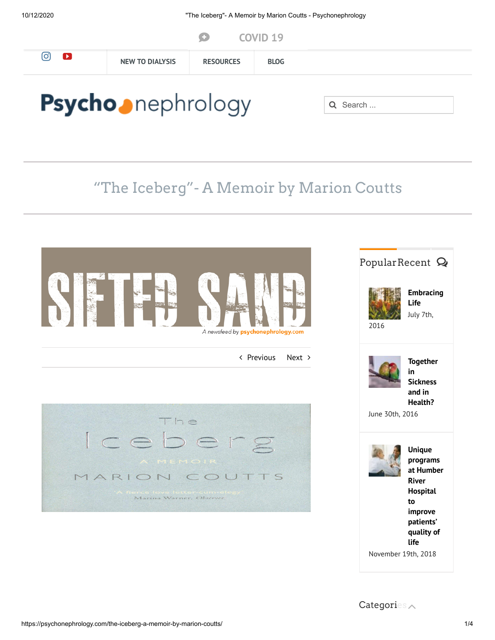|                          |                        | œ                | COVID <sub>19</sub> |          |  |  |
|--------------------------|------------------------|------------------|---------------------|----------|--|--|
| [ි<br><b>D</b>           | <b>NEW TO DIALYSIS</b> | <b>RESOURCES</b> | <b>BLOG</b>         |          |  |  |
|                          |                        |                  |                     |          |  |  |
| <b>Psycho</b> nephrology |                        |                  |                     | Q Search |  |  |

# "The Iceberg"- A Memoir by Marion Coutts



November 19th, 2018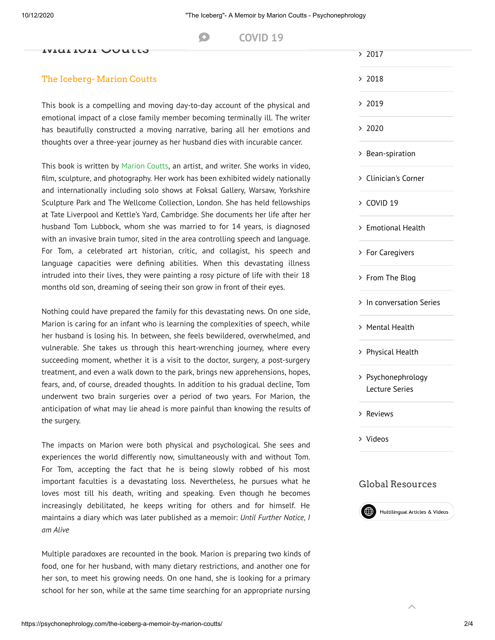#### $T$  The Iceberg - A M[emoir by](https://psychonephrology.com/covid-19/)  $T$ **COVID** 19

#### marion Coutto

### The Iceberg- Marion Coutts

This book is a compelling and moving day-to-day account of the physical and emotional impact of a close family member becoming terminally ill. The writer has beautifully constructed a moving narrative, baring all her emotions and thoughts over a three-year journey as her husband dies with incurable cancer.

This book is written by [Marion](http://www.marioncoutts.com/info.html) Coutts, an artist, and writer. She works in video, film, sculpture, and photography. Her work has been exhibited widely nationally and internationally including solo shows at Foksal Gallery, Warsaw, Yorkshire Sculpture Park and The Wellcome Collection, London. She has held fellowships at Tate Liverpool and Kettle's Yard, Cambridge. She documents her life after her husband Tom Lubbock, whom she was married to for 14 years, is diagnosed with an invasive brain tumor, sited in the area controlling speech and language. For Tom, a celebrated art historian, critic, and collagist, his speech and language capacities were defining abilities. When this devastating illness intruded into their lives, they were painting a rosy picture of life with their 18 months old son, dreaming of seeing their son grow in front of their eyes.

Nothing could have prepared the family for this devastating news. On one side, Marion is caring for an infant who is learning the complexities of speech, while her husband is losing his. In between, she feels bewildered, overwhelmed, and vulnerable. She takes us through this heart-wrenching journey, where every succeeding moment, whether it is a visit to the doctor, surgery, a post-surgery treatment, and even a walk down to the park, brings new apprehensions, hopes, fears, and, of course, dreaded thoughts. In addition to his gradual decline, Tom underwent two brain surgeries over a period of two years. For Marion, the anticipation of what may lie ahead is more painful than knowing the results of the surgery.

The impacts on Marion were both physical and psychological. She sees and experiences the world differently now, simultaneously with and without Tom. For Tom, accepting the fact that he is being slowly robbed of his most important faculties is a devastating loss. Nevertheless, he pursues what he loves most till his death, writing and speaking. Even though he becomes increasingly debilitated, he keeps writing for others and for himself. He maintains a diary which was later published as a memoir: *Until Further Notice, I am Alive*

Multiple paradoxes are recounted in the book. Marion is preparing two kinds of food, one for her husband, with many dietary restrictions, and another one for her son, to meet his growing needs. On one hand, she is looking for a primary school for her son, while at the same time searching for an appropriate nursing

| > Bean-spiration                     |
|--------------------------------------|
| > Clinician's Corner                 |
| > COVID 19                           |
| > Emotional Health                   |
| > For Caregivers                     |
| > From The Blog                      |
| > In conversation Series             |
| > Mental Health                      |
| > Physical Health                    |
| > Psychonephrology<br>Lecture Series |

[Reviews](https://psychonephrology.com/reviews/)

 $> 2017$  $> 2017$ 

[2018](https://psychonephrology.com/2018/)

 $> 2019$  $> 2019$ 

 $> 2020$  $> 2020$ 

[Videos](https://psychonephrology.com/videos/)

#### Global Resources



 $\lambda$